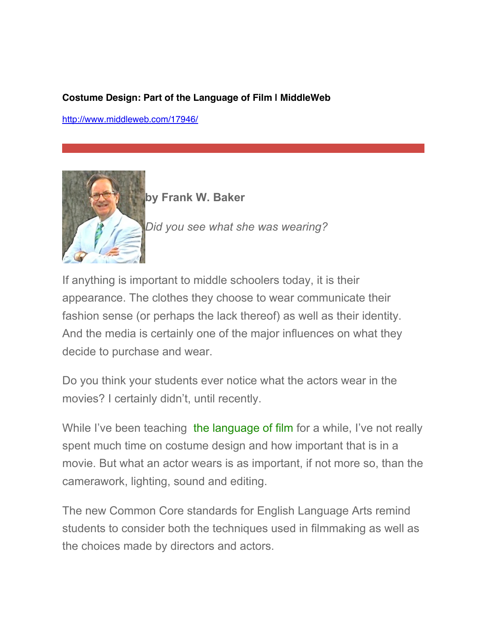## **Costume Design: Part of the Language of Film | MiddleWeb**

[http://www.middleweb.com/17946/](http://www.middleweb.com/17946/costume-design-part-language-film/)



**by Frank W. Baker**

*Did you see what she was wearing?*

If anything is important to middle schoolers today, it is their appearance. The clothes they choose to wear communicate their fashion sense (or perhaps the lack thereof) as well as their identity. And the media is certainly one of the major influences on what they decide to purchase and wear.

Do you think your students ever notice what the actors wear in the movies? I certainly didn't, until recently.

While I've been teaching [the language of film](http://www.frankwbaker.com/language_of_film) for a while, I've not really spent much time on costume design and how important that is in a movie. But what an actor wears is as important, if not more so, than the camerawork, lighting, sound and editing.

The new Common Core standards for English Language Arts remind students to consider both the techniques used in filmmaking as well as the choices made by directors and actors.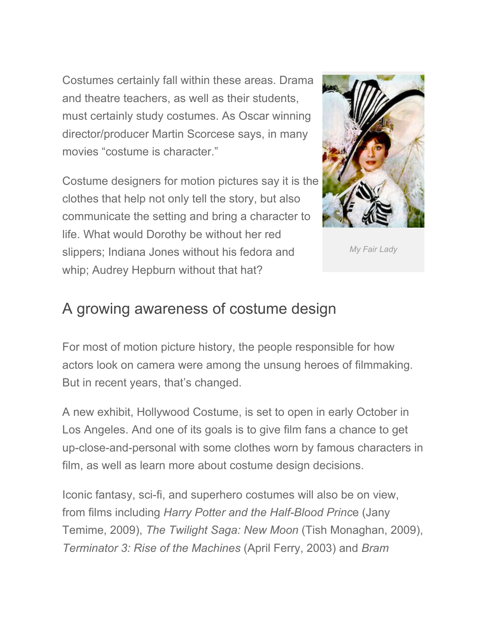Costumes certainly fall within these areas. Drama and theatre teachers, as well as their students, must certainly study costumes. As Oscar winning director/producer Martin Scorcese says, in many movies "costume is character."

Costume designers for motion pictures say it is the clothes that help not only tell the story, but also communicate the setting and bring a character to life. What would Dorothy be without her red slippers; Indiana Jones without his fedora and whip; Audrey Hepburn without that hat?



*My Fair Lady*

## A growing awareness of costume design

For most of motion picture history, the people responsible for how actors look on camera were among the unsung heroes of filmmaking. But in recent years, that's changed.

A new exhibit, Hollywood Costume, is set to open in early October in Los Angeles. And one of its goals is to give film fans a chance to get up-close-and-personal with some clothes worn by famous characters in film, as well as learn more about costume design decisions.

Iconic fantasy, sci-fi, and superhero costumes will also be on view, from films including *Harry Potter and the Half-Blood Princ*e (Jany Temime, 2009), *The Twilight Saga: New Moon* (Tish Monaghan, 2009), *Terminator 3: Rise of the Machines* (April Ferry, 2003) and *Bram*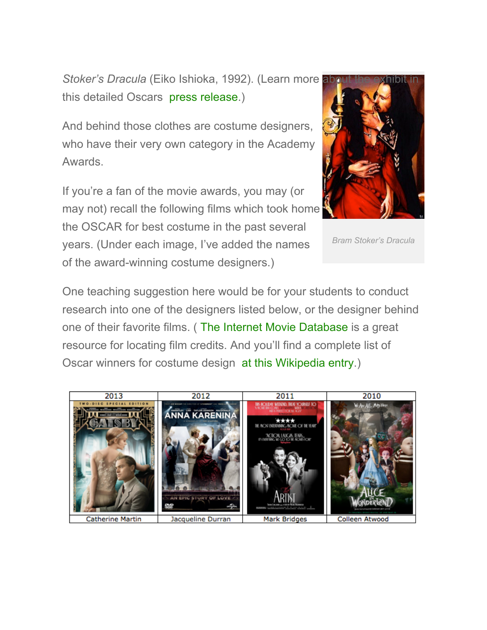*Stoker's Dracula* (Eiko Ishioka, 1992). (Learn more about the exhibit in this detailed Oscars [press release.](http://www.oscars.org/press/pressreleases/2014/20140708.html))

And behind those clothes are costume designers, who have their very own category in the Academy Awards.

If you're a fan of the movie awards, you may (or may not) recall the following films which took home the OSCAR for best costume in the past several years. (Under each image, I've added the names of the award-winning costume designers.)



*Bram Stoker's Dracula*

One teaching suggestion here would be for your students to conduct research into one of the designers listed below, or the designer behind one of their favorite films. ( The Internet Movie Database is a great resource for locating film credits. And you'll find a complete list of Oscar winners for costume design [at this Wikipedia entry.](http://en.wikipedia.org/wiki/Academy_Award_for_Best_Costume_Design))

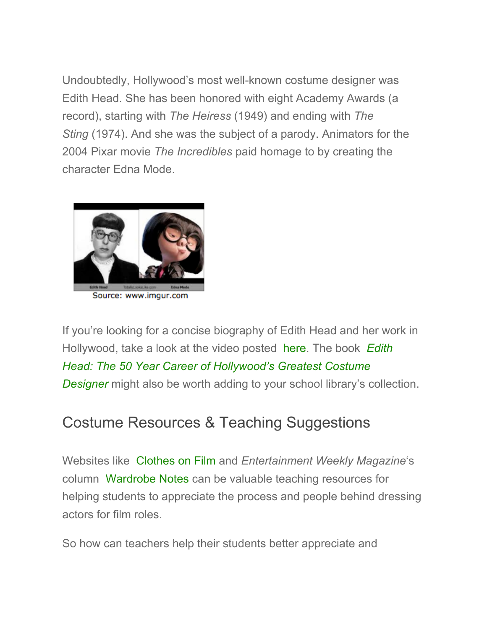Undoubtedly, Hollywood's most well-known costume designer was Edith Head. She has been honored with eight Academy Awards (a record), starting with *The Heiress* (1949) and ending with *The Sting* (1974). And she was the subject of a parody. Animators for the 2004 Pixar movie *The Incredibles* paid homage to by creating the character Edna Mode.



Source: www.imgur.com

If you're looking for a concise biography of Edith Head and her work in Hollywood, take a look at the video posted [here.](https://www.youtube.com/watch?v=iYkdf3IGs38) The book *Edith [Head: The 50 Year Career of Hollywood's Greatest Costume](http://www.runningpress.com/book/hardcover/edith-head/9780762438051) Designer* might also be worth adding to your school library's collection.

## Costume Resources & Teaching Suggestions

Websites like [Clothes on Film](http://clothesonfilm.com/) and *Entertainment Weekly Magazine*'s column [Wardrobe Notes](http://popstyle.ew.com/tag/wardrobe-notes/) can be valuable teaching resources for helping students to appreciate the process and people behind dressing actors for film roles.

So how can teachers help their students better appreciate and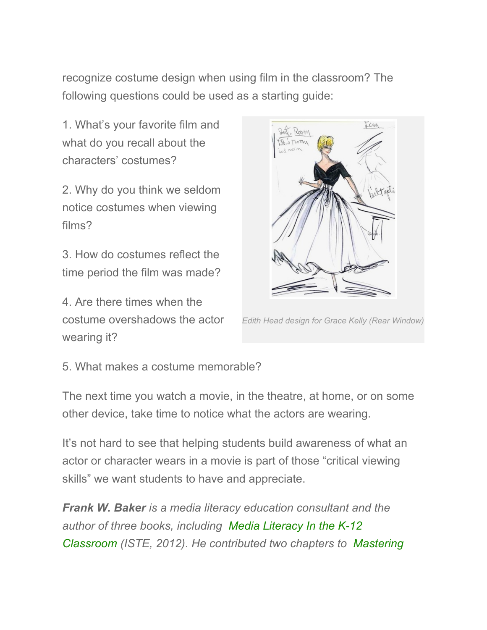recognize costume design when using film in the classroom? The following questions could be used as a starting guide:

1. What's your favorite film and what do you recall about the characters' costumes?

2. Why do you think we seldom notice costumes when viewing films?

3. How do costumes reflect the time period the film was made?

4. Are there times when the costume overshadows the actor wearing it?



*Edith Head design for Grace Kelly (Rear Window)*

5. What makes a costume memorable?

The next time you watch a movie, in the theatre, at home, or on some other device, take time to notice what the actors are wearing.

It's not hard to see that helping students build awareness of what an actor or character wears in a movie is part of those "critical viewing skills" we want students to have and appreciate.

*Frank W. Baker is a media literacy education consultant and the author of three books, including Media Literacy In the K-12 [Classroom \(ISTE, 2012\). He contributed two chapters to](http://www.iste.org/store/product?ID=2110) [Mastering](http://www.solution-tree.com/products/mastering-media-literacy.html)*